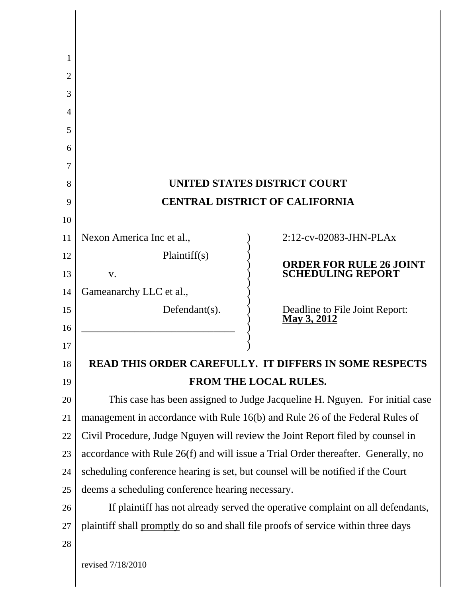| 1  |                                                                                   |                                                                                   |  |
|----|-----------------------------------------------------------------------------------|-----------------------------------------------------------------------------------|--|
| 2  |                                                                                   |                                                                                   |  |
| 3  |                                                                                   |                                                                                   |  |
| 4  |                                                                                   |                                                                                   |  |
| 5  |                                                                                   |                                                                                   |  |
| 6  |                                                                                   |                                                                                   |  |
| 7  |                                                                                   |                                                                                   |  |
| 8  |                                                                                   | <b>UNITED STATES DISTRICT COURT</b>                                               |  |
| 9  | <b>CENTRAL DISTRICT OF CALIFORNIA</b>                                             |                                                                                   |  |
| 10 |                                                                                   |                                                                                   |  |
| 11 | Nexon America Inc et al.,                                                         | $2:12$ -cv-02083-JHN-PLAx                                                         |  |
| 12 | Plaintiff(s)                                                                      |                                                                                   |  |
| 13 | V.                                                                                | <b>ORDER FOR RULE 26 JOINT</b><br><b>SCHEDULING REPORT</b>                        |  |
| 14 | Gameanarchy LLC et al.,                                                           |                                                                                   |  |
| 15 | Defendant(s).                                                                     | Deadline to File Joint Report:<br>May 3, 2012                                     |  |
| 16 |                                                                                   |                                                                                   |  |
| 17 |                                                                                   |                                                                                   |  |
| 18 |                                                                                   | <b>READ THIS ORDER CAREFULLY. IT DIFFERS IN SOME RESPECTS</b>                     |  |
| 19 |                                                                                   | FROM THE LOCAL RULES.                                                             |  |
| 20 | This case has been assigned to Judge Jacqueline H. Nguyen. For initial case       |                                                                                   |  |
| 21 | management in accordance with Rule 16(b) and Rule 26 of the Federal Rules of      |                                                                                   |  |
| 22 |                                                                                   | Civil Procedure, Judge Nguyen will review the Joint Report filed by counsel in    |  |
| 23 |                                                                                   | accordance with Rule 26(f) and will issue a Trial Order thereafter. Generally, no |  |
| 24 | scheduling conference hearing is set, but counsel will be notified if the Court   |                                                                                   |  |
| 25 | deems a scheduling conference hearing necessary.                                  |                                                                                   |  |
| 26 | If plaintiff has not already served the operative complaint on all defendants,    |                                                                                   |  |
| 27 | plaintiff shall promptly do so and shall file proofs of service within three days |                                                                                   |  |
| 28 |                                                                                   |                                                                                   |  |
|    | revised 7/18/2010                                                                 |                                                                                   |  |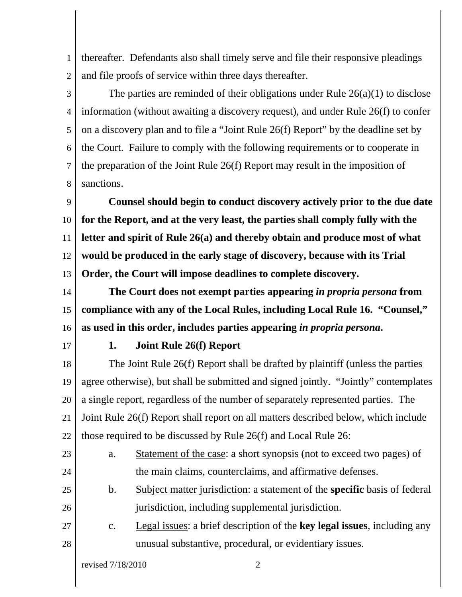1 2 thereafter. Defendants also shall timely serve and file their responsive pleadings and file proofs of service within three days thereafter.

3 4 5 6 7 8 The parties are reminded of their obligations under Rule  $26(a)(1)$  to disclose information (without awaiting a discovery request), and under Rule 26(f) to confer on a discovery plan and to file a "Joint Rule 26(f) Report" by the deadline set by the Court. Failure to comply with the following requirements or to cooperate in the preparation of the Joint Rule 26(f) Report may result in the imposition of sanctions.

9 10 11 12 13 **Counsel should begin to conduct discovery actively prior to the due date for the Report, and at the very least, the parties shall comply fully with the letter and spirit of Rule 26(a) and thereby obtain and produce most of what would be produced in the early stage of discovery, because with its Trial Order, the Court will impose deadlines to complete discovery.** 

14 15 16 **The Court does not exempt parties appearing** *in propria persona* **from compliance with any of the Local Rules, including Local Rule 16. "Counsel," as used in this order, includes parties appearing** *in propria persona***.**

17

## **1. Joint Rule 26(f) Report**

18 19 20 21 22 The Joint Rule 26(f) Report shall be drafted by plaintiff (unless the parties agree otherwise), but shall be submitted and signed jointly. "Jointly" contemplates a single report, regardless of the number of separately represented parties. The Joint Rule 26(f) Report shall report on all matters described below, which include those required to be discussed by Rule 26(f) and Local Rule 26:

- 23 24 a. Statement of the case: a short synopsis (not to exceed two pages) of the main claims, counterclaims, and affirmative defenses.
- 25 26 b. Subject matter jurisdiction: a statement of the **specific** basis of federal jurisdiction, including supplemental jurisdiction.
- 27 28 c. Legal issues: a brief description of the **key legal issues**, including any unusual substantive, procedural, or evidentiary issues.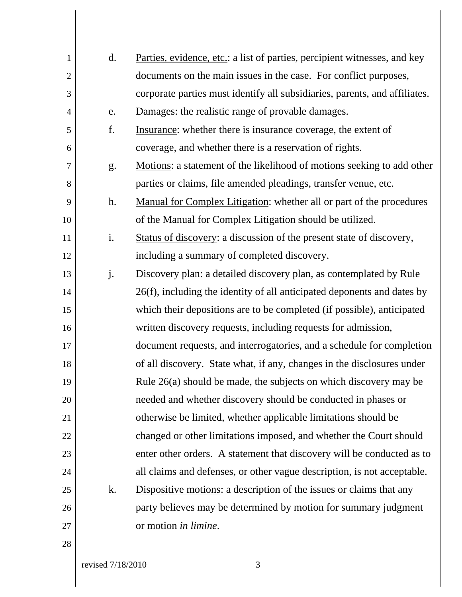| $\mathbf{1}$   | d. | Parties, evidence, etc.: a list of parties, percipient witnesses, and key  |
|----------------|----|----------------------------------------------------------------------------|
| $\overline{2}$ |    | documents on the main issues in the case. For conflict purposes,           |
| 3              |    | corporate parties must identify all subsidiaries, parents, and affiliates. |
| $\overline{4}$ | e. | Damages: the realistic range of provable damages.                          |
| 5              | f. | Insurance: whether there is insurance coverage, the extent of              |
| 6              |    | coverage, and whether there is a reservation of rights.                    |
| $\overline{7}$ | g. | Motions: a statement of the likelihood of motions seeking to add other     |
| 8              |    | parties or claims, file amended pleadings, transfer venue, etc.            |
| 9              | h. | Manual for Complex Litigation: whether all or part of the procedures       |
| 10             |    | of the Manual for Complex Litigation should be utilized.                   |
| 11             | i. | Status of discovery: a discussion of the present state of discovery,       |
| 12             |    | including a summary of completed discovery.                                |
| 13             | j. | Discovery plan: a detailed discovery plan, as contemplated by Rule         |
| 14             |    | 26(f), including the identity of all anticipated deponents and dates by    |
| 15             |    | which their depositions are to be completed (if possible), anticipated     |
| 16             |    | written discovery requests, including requests for admission,              |
| 17             |    | document requests, and interrogatories, and a schedule for completion      |
| 18             |    | of all discovery. State what, if any, changes in the disclosures under     |
| 19             |    | Rule $26(a)$ should be made, the subjects on which discovery may be        |
| 20             |    | needed and whether discovery should be conducted in phases or              |
| 21             |    | otherwise be limited, whether applicable limitations should be             |
| 22             |    | changed or other limitations imposed, and whether the Court should         |
| 23             |    | enter other orders. A statement that discovery will be conducted as to     |
| 24             |    | all claims and defenses, or other vague description, is not acceptable.    |
| 25             | k. | <b>Dispositive motions:</b> a description of the issues or claims that any |
| 26             |    | party believes may be determined by motion for summary judgment            |
| 27             |    | or motion in limine.                                                       |
| 28             |    |                                                                            |
|                |    |                                                                            |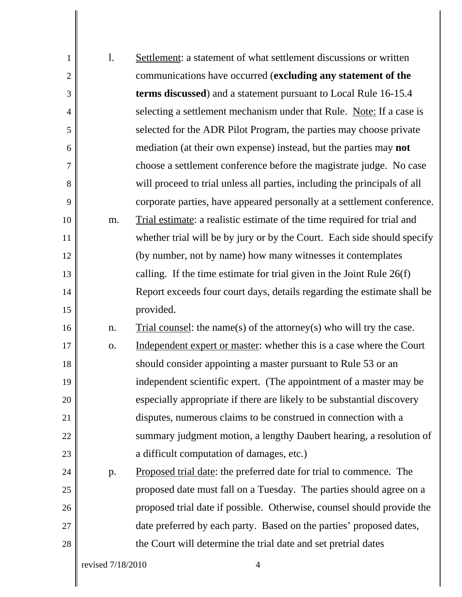| $\mathbf{1}$   | 1.                | Settlement: a statement of what settlement discussions or written          |
|----------------|-------------------|----------------------------------------------------------------------------|
| $\overline{2}$ |                   | communications have occurred (excluding any statement of the               |
| 3              |                   | <b>terms discussed</b> ) and a statement pursuant to Local Rule 16-15.4    |
| $\overline{4}$ |                   | selecting a settlement mechanism under that Rule. Note: If a case is       |
| 5              |                   | selected for the ADR Pilot Program, the parties may choose private         |
| 6              |                   | mediation (at their own expense) instead, but the parties may <b>not</b>   |
| $\overline{7}$ |                   | choose a settlement conference before the magistrate judge. No case        |
| 8              |                   | will proceed to trial unless all parties, including the principals of all  |
| 9              |                   | corporate parties, have appeared personally at a settlement conference.    |
| 10             | m.                | Trial estimate: a realistic estimate of the time required for trial and    |
| 11             |                   | whether trial will be by jury or by the Court. Each side should specify    |
| 12             |                   | (by number, not by name) how many witnesses it contemplates                |
| 13             |                   | calling. If the time estimate for trial given in the Joint Rule $26(f)$    |
| 14             |                   | Report exceeds four court days, details regarding the estimate shall be    |
| 15             |                   | provided.                                                                  |
| 16             | n.                | Trial counsel: the name(s) of the attorney(s) who will try the case.       |
| 17             | 0.                | Independent expert or master: whether this is a case where the Court       |
| 18             |                   | should consider appointing a master pursuant to Rule 53 or an              |
| 19             |                   | independent scientific expert. (The appointment of a master may be         |
| 20             |                   | especially appropriate if there are likely to be substantial discovery     |
| 21             |                   | disputes, numerous claims to be construed in connection with a             |
| 22             |                   | summary judgment motion, a lengthy Daubert hearing, a resolution of        |
| 23             |                   | a difficult computation of damages, etc.)                                  |
| 24             | p.                | <u>Proposed trial date</u> : the preferred date for trial to commence. The |
| 25             |                   | proposed date must fall on a Tuesday. The parties should agree on a        |
| 26             |                   | proposed trial date if possible. Otherwise, counsel should provide the     |
| 27             |                   | date preferred by each party. Based on the parties' proposed dates,        |
| 28             |                   | the Court will determine the trial date and set pretrial dates             |
|                | revised 7/18/2010 | 4                                                                          |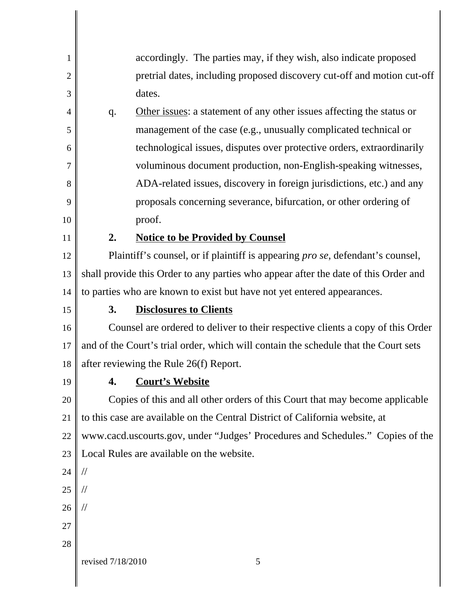| 1  |                                                                                     | accordingly. The parties may, if they wish, also indicate proposed              |
|----|-------------------------------------------------------------------------------------|---------------------------------------------------------------------------------|
| 2  |                                                                                     | pretrial dates, including proposed discovery cut-off and motion cut-off         |
| 3  |                                                                                     | dates.                                                                          |
| 4  | q.                                                                                  | Other issues: a statement of any other issues affecting the status or           |
| 5  |                                                                                     | management of the case (e.g., unusually complicated technical or                |
| 6  |                                                                                     | technological issues, disputes over protective orders, extraordinarily          |
| 7  |                                                                                     | voluminous document production, non-English-speaking witnesses,                 |
| 8  |                                                                                     | ADA-related issues, discovery in foreign jurisdictions, etc.) and any           |
| 9  |                                                                                     | proposals concerning severance, bifurcation, or other ordering of               |
| 10 |                                                                                     | proof.                                                                          |
| 11 | 2.                                                                                  | <b>Notice to be Provided by Counsel</b>                                         |
| 12 | Plaintiff's counsel, or if plaintiff is appearing pro se, defendant's counsel,      |                                                                                 |
| 13 | shall provide this Order to any parties who appear after the date of this Order and |                                                                                 |
| 14 |                                                                                     | to parties who are known to exist but have not yet entered appearances.         |
| 15 | 3.                                                                                  | <b>Disclosures to Clients</b>                                                   |
| 16 |                                                                                     | Counsel are ordered to deliver to their respective clients a copy of this Order |
| 17 | and of the Court's trial order, which will contain the schedule that the Court sets |                                                                                 |
| 18 |                                                                                     | after reviewing the Rule 26(f) Report.                                          |
| 19 |                                                                                     | 4. Court's Website                                                              |
| 20 |                                                                                     | Copies of this and all other orders of this Court that may become applicable    |
| 21 | to this case are available on the Central District of California website, at        |                                                                                 |
| 22 | www.cacd.uscourts.gov, under "Judges' Procedures and Schedules." Copies of the      |                                                                                 |
| 23 | Local Rules are available on the website.                                           |                                                                                 |
| 24 | $\frac{1}{2}$                                                                       |                                                                                 |
| 25 | $\frac{1}{2}$                                                                       |                                                                                 |
| 26 | $\frac{1}{2}$                                                                       |                                                                                 |
| 27 |                                                                                     |                                                                                 |
| 28 |                                                                                     |                                                                                 |
|    | revised 7/18/2010                                                                   | 5                                                                               |